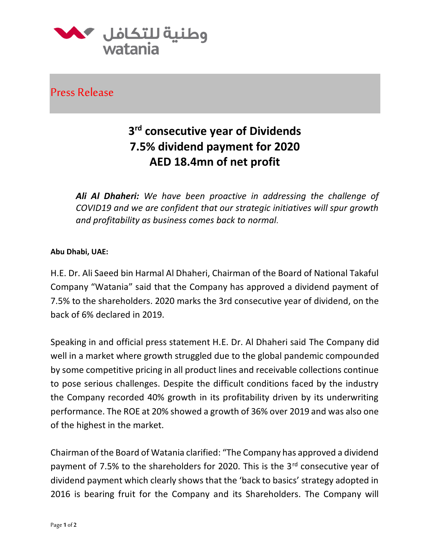

Press Release

## **3 rd consecutive year of Dividends 7.5% dividend payment for 2020 AED 18.4mn of net profit**

*Ali Al Dhaheri: We have been proactive in addressing the challenge of COVID19 and we are confident that our strategic initiatives will spur growth and profitability as business comes back to normal.*

## **Abu Dhabi, UAE:**

H.E. Dr. Ali Saeed bin Harmal Al Dhaheri, Chairman of the Board of National Takaful Company "Watania" said that the Company has approved a dividend payment of 7.5% to the shareholders. 2020 marks the 3rd consecutive year of dividend, on the back of 6% declared in 2019.

Speaking in and official press statement H.E. Dr. Al Dhaheri said The Company did well in a market where growth struggled due to the global pandemic compounded by some competitive pricing in all product lines and receivable collections continue to pose serious challenges. Despite the difficult conditions faced by the industry the Company recorded 40% growth in its profitability driven by its underwriting performance. The ROE at 20% showed a growth of 36% over 2019 and was also one of the highest in the market.

Chairman of the Board of Watania clarified: "The Company has approved a dividend payment of 7.5% to the shareholders for 2020. This is the 3<sup>rd</sup> consecutive year of dividend payment which clearly shows that the 'back to basics' strategy adopted in 2016 is bearing fruit for the Company and its Shareholders. The Company will